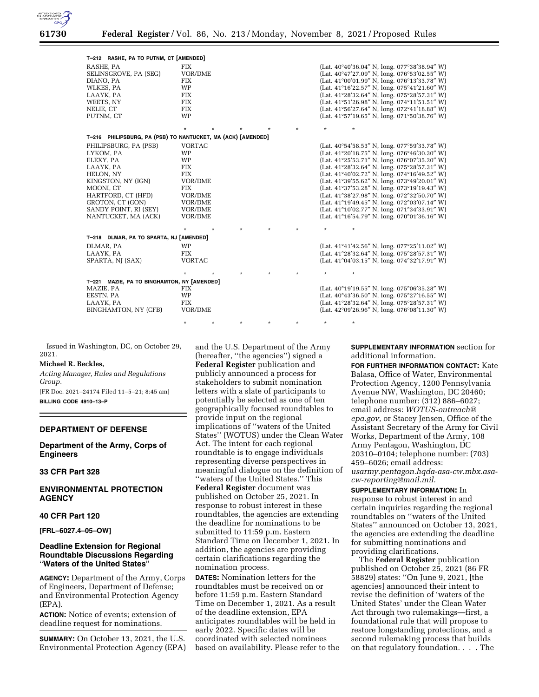

| T-212 RASHE, PA TO PUTNM, CT [AMENDED]                                                                                                                                                                 |                                                                                                                                                        |         |         |                                                                                                                                                                                                                                                                                                                                                                                                                                                                                                                                                                                                          |
|--------------------------------------------------------------------------------------------------------------------------------------------------------------------------------------------------------|--------------------------------------------------------------------------------------------------------------------------------------------------------|---------|---------|----------------------------------------------------------------------------------------------------------------------------------------------------------------------------------------------------------------------------------------------------------------------------------------------------------------------------------------------------------------------------------------------------------------------------------------------------------------------------------------------------------------------------------------------------------------------------------------------------------|
| RASHE, PA<br>SELINSGROVE, PA (SEG)<br>DIANO, PA<br>WLKES, PA<br>LAAYK, PA<br>WEETS, NY<br>NELIE. CT<br>PUTNM, CT                                                                                       | <b>FIX</b><br>VOR/DME<br><b>FIX</b><br><b>WP</b><br><b>FIX</b><br><b>FIX</b><br><b>FIX</b><br><b>WP</b>                                                |         |         | (Lat. $40^{\circ}40'36.04''$ N, long. $077^{\circ}38'38.94''$ W)<br>(Lat. 40°47'27.09" N, long. 076°53'02.55" W)<br>(Lat. $41^{\circ}00'01.99''$ N, long. $076^{\circ}13'33.78''$ W)<br>(Lat. $41^{\circ}16'22.57''$ N, long. $075^{\circ}41'21.60''$ W)<br>(Lat. 41°28'32.64" N, long. 075°28'57.31" W)<br>(Lat. 41°51'26.98" N, long. 074°11'51.51" W)<br>(Lat. 41°56'27.64" N, long. 072°41'18.88" W)<br>(Lat. $41^{\circ}57'19.65''$ N, long. $071^{\circ}50'38.76''$ W)                                                                                                                             |
|                                                                                                                                                                                                        | $\star$                                                                                                                                                |         | $\star$ | $\star$                                                                                                                                                                                                                                                                                                                                                                                                                                                                                                                                                                                                  |
| T-216 PHILIPSBURG, PA (PSB) TO NANTUCKET, MA (ACK) [AMENDED]                                                                                                                                           |                                                                                                                                                        |         |         |                                                                                                                                                                                                                                                                                                                                                                                                                                                                                                                                                                                                          |
| PHILIPSBURG, PA (PSB)<br>LYKOM, PA<br>ELEXY, PA<br>LAAYK, PA<br>HELON, NY<br>KINGSTON, NY (IGN)<br>MOONI, CT<br>HARTFORD, CT (HFD)<br>GROTON, CT (GON)<br>SANDY POINT, RI (SEY)<br>NANTUCKET, MA (ACK) | <b>VORTAC</b><br><b>WP</b><br><b>WP</b><br><b>FIX</b><br><b>FIX</b><br>VOR/DME<br><b>FIX</b><br><b>VOR/DME</b><br><b>VOR/DME</b><br>VOR/DME<br>VOR/DME |         |         | (Lat. $40^{\circ}54'58.53''$ N, long. $077^{\circ}59'33.78''$ W)<br>(Lat. 41°20'18.75" N, long. 076°46'30.30" W)<br>(Lat. 41°25'53.71" N, long. 076°07'35.20" W)<br>(Lat. 41°28'32.64" N, long. 075°28'57.31" W)<br>(Lat. 41°40'02.72" N, long. 074°16'49.52" W)<br>(Lat. $41^{\circ}39'55.62''$ N, long. $073^{\circ}49'20.01''$ W)<br>(Lat. 41°37'53.28" N, long. 073°19'19.43" W)<br>(Lat. 41°38'27.98" N, long. 072°32'50.70" W)<br>(Lat. 41°19'49.45" N, long. 072°03'07.14" W)<br>(Lat. 41°10'02.77" N, long. 071°34'33.91" W)<br>(Lat. $41^{\circ}16'54.79''$ N, long. $070^{\circ}01'36.16''$ W) |
|                                                                                                                                                                                                        | $\star$<br>$\star$                                                                                                                                     | $\star$ | $\star$ | $\star$                                                                                                                                                                                                                                                                                                                                                                                                                                                                                                                                                                                                  |
| T-218 DLMAR, PA TO SPARTA, NJ [AMENDED]                                                                                                                                                                |                                                                                                                                                        |         |         |                                                                                                                                                                                                                                                                                                                                                                                                                                                                                                                                                                                                          |
| DLMAR, PA<br>LAAYK, PA<br>SPARTA, NJ (SAX)                                                                                                                                                             | <b>WP</b><br><b>FIX</b><br><b>VORTAC</b>                                                                                                               |         |         | (Lat. $41^{\circ}41'42.56''$ N, long. $077^{\circ}25'11.02''$ W)<br>(Lat. $41^{\circ}28'32.64''$ N, long. $075^{\circ}28'57.31''$ W)<br>(Lat. $41^{\circ}04'03.15''$ N, long. $074^{\circ}32'17.91''$ W)                                                                                                                                                                                                                                                                                                                                                                                                 |
|                                                                                                                                                                                                        | $\star$                                                                                                                                                | $\star$ | $\star$ | $\star$                                                                                                                                                                                                                                                                                                                                                                                                                                                                                                                                                                                                  |
| T-221 MAZIE, PA TO BINGHAMTON, NY [AMENDED]<br>MAZIE, PA<br>EESTN, PA<br>LAAYK, PA<br>BINGHAMTON, NY (CFB)                                                                                             | <b>FIX</b><br>WP<br><b>FIX</b><br>VOR/DME                                                                                                              |         |         | (Lat. $40^{\circ}19'19.55''$ N, long. $075^{\circ}06'35.28''$ W)<br>(Lat. $40^{\circ}43'36.50''$ N, long. $075^{\circ}27'16.55''$ W)<br>(Lat. 41°28'32.64" N, long. 075°28'57.31" W)<br>(Lat. $42^{\circ}09'26.96''$ N, long. $076^{\circ}08'11.30''$ W)                                                                                                                                                                                                                                                                                                                                                 |

Issued in Washington, DC, on October 29, 2021.

#### **Michael R. Beckles,**

*Acting Manager, Rules and Regulations Group.* 

[FR Doc. 2021–24174 Filed 11–5–21; 8:45 am] **BILLING CODE 4910–13–P** 

# **DEPARTMENT OF DEFENSE**

**Department of the Army, Corps of Engineers** 

# **33 CFR Part 328**

## **ENVIRONMENTAL PROTECTION AGENCY**

#### **40 CFR Part 120**

**[FRL–6027.4–05–OW]** 

## **Deadline Extension for Regional Roundtable Discussions Regarding**  ''**Waters of the United States**''

**AGENCY:** Department of the Army, Corps of Engineers, Department of Defense; and Environmental Protection Agency (EPA).

**ACTION:** Notice of events; extension of deadline request for nominations.

**SUMMARY:** On October 13, 2021, the U.S. Environmental Protection Agency (EPA) and the U.S. Department of the Army (hereafter, ''the agencies'') signed a **Federal Register** publication and publicly announced a process for stakeholders to submit nomination letters with a slate of participants to potentially be selected as one of ten geographically focused roundtables to provide input on the regional implications of ''waters of the United States'' (WOTUS) under the Clean Water Act. The intent for each regional roundtable is to engage individuals representing diverse perspectives in meaningful dialogue on the definition of ''waters of the United States.'' This

\* \* \* \* \* \* \*

**Federal Register** document was published on October 25, 2021. In response to robust interest in these roundtables, the agencies are extending the deadline for nominations to be submitted to 11:59 p.m. Eastern Standard Time on December 1, 2021. In addition, the agencies are providing certain clarifications regarding the nomination process.

**DATES:** Nomination letters for the roundtables must be received on or before 11:59 p.m. Eastern Standard Time on December 1, 2021. As a result of the deadline extension, EPA anticipates roundtables will be held in early 2022. Specific dates will be coordinated with selected nominees based on availability. Please refer to the **SUPPLEMENTARY INFORMATION** section for additional information.

**FOR FURTHER INFORMATION CONTACT:** Kate Balasa, Office of Water, Environmental Protection Agency, 1200 Pennsylvania Avenue NW, Washington, DC 20460; telephone number: (312) 886–6027; email address: *[WOTUS-outreach@](mailto:WOTUS-outreach@epa.gov) [epa.gov](mailto:WOTUS-outreach@epa.gov)*, or Stacey Jensen, Office of the Assistant Secretary of the Army for Civil Works, Department of the Army, 108 Army Pentagon, Washington, DC 20310–0104; telephone number: (703) 459–6026; email address: *[usarmy.pentagon.hqda-asa-cw.mbx.asa](mailto:usarmy.pentagon.hqda-asa-cw.mbx.asa-cw-reporting@mail.mil)[cw-reporting@mail.mil.](mailto:usarmy.pentagon.hqda-asa-cw.mbx.asa-cw-reporting@mail.mil)* 

**SUPPLEMENTARY INFORMATION:** In response to robust interest in and certain inquiries regarding the regional roundtables on ''waters of the United States'' announced on October 13, 2021, the agencies are extending the deadline for submitting nominations and providing clarifications.

The **Federal Register** publication published on October 25, 2021 (86 FR 58829) states: ''On June 9, 2021, [the agencies] announced their intent to revise the definition of 'waters of the United States' under the Clean Water Act through two rulemakings—first, a foundational rule that will propose to restore longstanding protections, and a second rulemaking process that builds on that regulatory foundation. . . . The